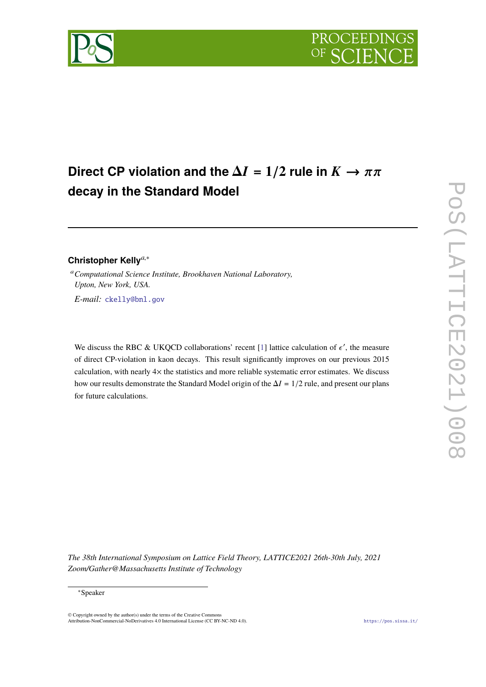

# **Direct CP violation and the**  $\Delta I = 1/2$  **rule in**  $K \to \pi \pi$ **decay in the Standard Model**

# **Christopher Kelly***a*,<sup>∗</sup>

<sup>a</sup>*Computational Science Institute, Brookhaven National Laboratory, Upton, New York, USA. E-mail:* [ckelly@bnl.gov](mailto:ckelly@bnl.gov)

We discuss the RBC & UKQCD collaborations' recent [\[1\]](#page-14-0) lattice calculation of  $\epsilon'$ , the measure of direct CP-violation in kaon decays. This result significantly improves on our previous 2015 calculation, with nearly 4× the statistics and more reliable systematic error estimates. We discuss how our results demonstrate the Standard Model origin of the <sup>∆</sup>*<sup>I</sup>* = 1/<sup>2</sup> rule, and present our plans for future calculations.

*The 38th International Symposium on Lattice Field Theory, LATTICE2021 26th-30th July, 2021 Zoom/Gather@Massachusetts Institute of Technology*

#### <sup>∗</sup>Speaker

© Copyright owned by the author(s) under the terms of the Creative Commons Attribution-NonCommercial-NoDerivatives 4.0 International License (CC BY-NC-ND 4.0). <https://pos.sissa.it/>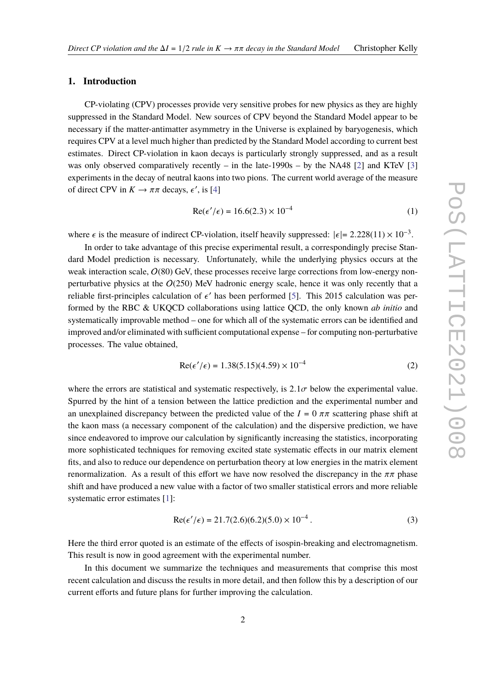# **1. Introduction**

CP-violating (CPV) processes provide very sensitive probes for new physics as they are highly suppressed in the Standard Model. New sources of CPV beyond the Standard Model appear to be necessary if the matter-antimatter asymmetry in the Universe is explained by baryogenesis, which requires CPV at a level much higher than predicted by the Standard Model according to current best estimates. Direct CP-violation in kaon decays is particularly strongly suppressed, and as a result was only observed comparatively recently – in the late-1990s – by the NA48 [\[2\]](#page-14-1) and KTeV [\[3\]](#page-14-2) experiments in the decay of neutral kaons into two pions. The current world average of the measure of direct CPV in  $K \to \pi \pi$  decays,  $\epsilon'$ , is [\[4\]](#page-14-3)

$$
Re(\epsilon'/\epsilon) = 16.6(2.3) \times 10^{-4}
$$
 (1)

where  $\epsilon$  is the measure of indirect CP-violation, itself heavily suppressed:  $|\epsilon| = 2.228(11) \times 10^{-3}$ .

In order to take advantage of this precise experimental result, a correspondingly precise Standard Model prediction is necessary. Unfortunately, while the underlying physics occurs at the weak interaction scale,  $O(80)$  GeV, these processes receive large corrections from low-energy nonperturbative physics at the  $O(250)$  MeV hadronic energy scale, hence it was only recently that a reliable first-principles calculation of  $\epsilon'$  has been performed [\[5\]](#page-14-4). This 2015 calculation was per-<br>formed by the BBC & UVOCD calleborations using lattice OCD, the only known ab initia and formed by the RBC & UKQCD collaborations using lattice QCD, the only known *ab initio* and systematically improvable method – one for which all of the systematic errors can be identified and improved and/or eliminated with sufficient computational expense – for computing non-perturbative processes. The value obtained,

$$
Re(\epsilon'/\epsilon) = 1.38(5.15)(4.59) \times 10^{-4}
$$
 (2)

where the errors are statistical and systematic respectively, is  $2.1\sigma$  below the experimental value. Spurred by the hint of a tension between the lattice prediction and the experimental number and an unexplained discrepancy between the predicted value of the  $I = 0 \pi \pi$  scattering phase shift at the kaon mass (a necessary component of the calculation) and the dispersive prediction, we have since endeavored to improve our calculation by significantly increasing the statistics, incorporating more sophisticated techniques for removing excited state systematic effects in our matrix element fits, and also to reduce our dependence on perturbation theory at low energies in the matrix element renormalization. As a result of this effort we have now resolved the discrepancy in the  $ππ$  phase shift and have produced a new value with a factor of two smaller statistical errors and more reliable systematic error estimates [\[1\]](#page-14-0):

$$
Re(\epsilon'/\epsilon) = 21.7(2.6)(6.2)(5.0) \times 10^{-4}.
$$
 (3)

Here the third error quoted is an estimate of the effects of isospin-breaking and electromagnetism. This result is now in good agreement with the experimental number.

In this document we summarize the techniques and measurements that comprise this most recent calculation and discuss the results in more detail, and then follow this by a description of our current efforts and future plans for further improving the calculation.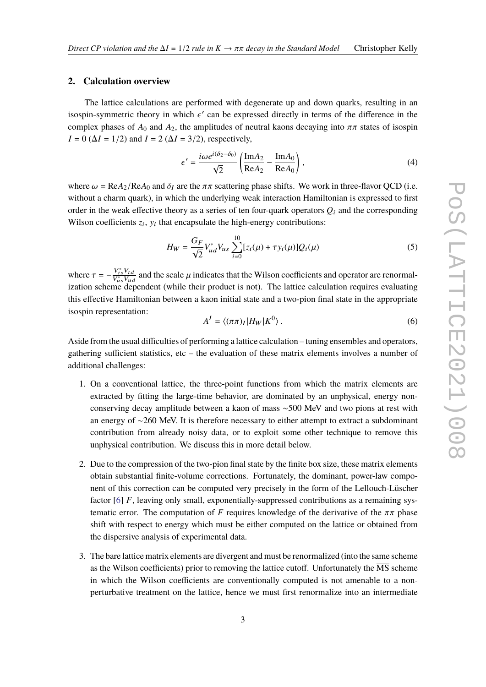#### <span id="page-2-0"></span>**2. Calculation overview**

The lattice calculations are performed with degenerate up and down quarks, resulting in an isospin-symmetric theory in which  $\epsilon'$  can be expressed directly in terms of the difference in the complex phases of A, and A, the conditivides of neutral keeps description into  $\tau$  at the of isospin complex phases of  $A_0$  and  $A_2$ , the amplitudes of neutral kaons decaying into  $\pi\pi$  states of isospin  $I = 0$  ( $\Delta I = 1/2$ ) and  $I = 2$  ( $\Delta I = 3/2$ ), respectively,

$$
\epsilon' = \frac{i\omega e^{i(\delta_2 - \delta_0)}}{\sqrt{2}} \left( \frac{\text{Im}A_2}{\text{Re}A_2} - \frac{\text{Im}A_0}{\text{Re}A_0} \right),\tag{4}
$$

where  $\omega = \text{Re}A_2/\text{Re}A_0$  and  $\delta_I$  are the  $\pi\pi$  scattering phase shifts. We work in three-flavor QCD (i.e. without a charm quark), in which the underlying weak interaction Hamiltonian is expressed to first order in the weak effective theory as a series of ten four-quark operators  $O_i$  and the corresponding Wilson coefficients  $z_i$ ,  $y_i$  that encapsulate the high-energy contributions:

$$
H_W = \frac{G_F}{\sqrt{2}} V_{ud}^* V_{us} \sum_{i=0}^{10} [z_i(\mu) + \tau y_i(\mu)] Q_i(\mu)
$$
 (5)

where  $\tau = -\frac{V_{ts}^* V_{td}}{V_{us}^* V_{uc}}$ where  $\tau = -\frac{v_{ts}v_{td}}{V_{us}^*V_{ud}}$  and the scale  $\mu$  indicates that the Wilson coefficients and operator are renormalization scheme dependent (while their product is not). The lattice calculation requires evaluating this effective Hamiltonian between a kaon initial state and a two-pion final state in the appropriate isospin representation:

$$
A^{I} = \langle (\pi \pi)_{I} | H_{W} | K^{0} \rangle.
$$
 (6)

Aside from the usual difficulties of performing a lattice calculation – tuning ensembles and operators, gathering sufficient statistics, etc – the evaluation of these matrix elements involves a number of additional challenges:

- 1. On a conventional lattice, the three-point functions from which the matrix elements are extracted by fitting the large-time behavior, are dominated by an unphysical, energy nonconserving decay amplitude between a kaon of mass ∼500 MeV and two pions at rest with an energy of ∼260 MeV. It is therefore necessary to either attempt to extract a subdominant contribution from already noisy data, or to exploit some other technique to remove this unphysical contribution. We discuss this in more detail below.
- 2. Due to the compression of the two-pion final state by the finite box size, these matrix elements obtain substantial finite-volume corrections. Fortunately, the dominant, power-law component of this correction can be computed very precisely in the form of the Lellouch-Lüscher factor [\[6\]](#page-14-5) *F*, leaving only small, exponentially-suppressed contributions as a remaining systematic error. The computation of *F* requires knowledge of the derivative of the  $\pi\pi$  phase shift with respect to energy which must be either computed on the lattice or obtained from the dispersive analysis of experimental data.
- 3. The bare lattice matrix elements are divergent and must be renormalized (into the same scheme as the Wilson coefficients) prior to removing the lattice cutoff. Unfortunately the  $\overline{MS}$  scheme in which the Wilson coefficients are conventionally computed is not amenable to a nonperturbative treatment on the lattice, hence we must first renormalize into an intermediate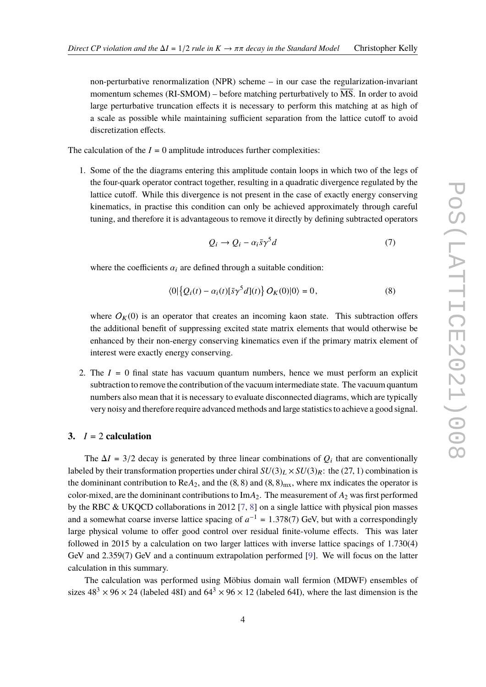non-perturbative renormalization (NPR) scheme – in our case the regularization-invariant momentum schemes  $(RI-SMOM)$  – before matching perturbatively to  $\overline{MS}$ . In order to avoid large perturbative truncation effects it is necessary to perform this matching at as high of a scale as possible while maintaining sufficient separation from the lattice cutoff to avoid discretization effects.

The calculation of the  $I = 0$  amplitude introduces further complexities:

1. Some of the the diagrams entering this amplitude contain loops in which two of the legs of the four-quark operator contract together, resulting in a quadratic divergence regulated by the lattice cutoff. While this divergence is not present in the case of exactly energy conserving kinematics, in practise this condition can only be achieved approximately through careful tuning, and therefore it is advantageous to remove it directly by defining subtracted operators

$$
Q_i \to Q_i - \alpha_i \bar{s} \gamma^5 d \tag{7}
$$

where the coefficients  $\alpha_i$  are defined through a suitable condition:

$$
\langle 0|\left\{Q_i(t) - \alpha_i(t)[\bar{s}\gamma^5 d](t)\right\} O_K(0)|0\rangle = 0, \tag{8}
$$

where  $O_K(0)$  is an operator that creates an incoming kaon state. This subtraction offers the additional benefit of suppressing excited state matrix elements that would otherwise be enhanced by their non-energy conserving kinematics even if the primary matrix element of interest were exactly energy conserving.

2. The  $I = 0$  final state has vacuum quantum numbers, hence we must perform an explicit subtraction to remove the contribution of the vacuum intermediate state. The vacuum quantum numbers also mean that it is necessary to evaluate disconnected diagrams, which are typically very noisy and therefore require advanced methods and large statistics to achieve a good signal.

#### **3.**  $I = 2$  **calculation**

The  $\Delta I = 3/2$  decay is generated by three linear combinations of  $Q_i$  that are conventionally labeled by their transformation properties under chiral  $SU(3)_L \times SU(3)_R$ : the (27, 1) combination is the domininant contribution to ReA<sub>2</sub>, and the  $(8, 8)$  and  $(8, 8)_{mx}$ , where mx indicates the operator is color-mixed, are the domininant contributions to  $\text{Im}A_2$ . The measurement of  $A_2$  was first performed by the RBC & UKQCD collaborations in 2012 [\[7,](#page-14-6) [8\]](#page-14-7) on a single lattice with physical pion masses and a somewhat coarse inverse lattice spacing of  $a^{-1} = 1.378(7)$  GeV, but with a correspondingly large physical volume to offer good control over residual finite-volume effects. This was later followed in 2015 by a calculation on two larger lattices with inverse lattice spacings of 1.730(4) GeV and 2.359(7) GeV and a continuum extrapolation performed [\[9\]](#page-14-8). We will focus on the latter calculation in this summary.

The calculation was performed using Möbius domain wall fermion (MDWF) ensembles of sizes  $48^3 \times 96 \times 24$  (labeled 48I) and  $64^3 \times 96 \times 12$  (labeled 64I), where the last dimension is the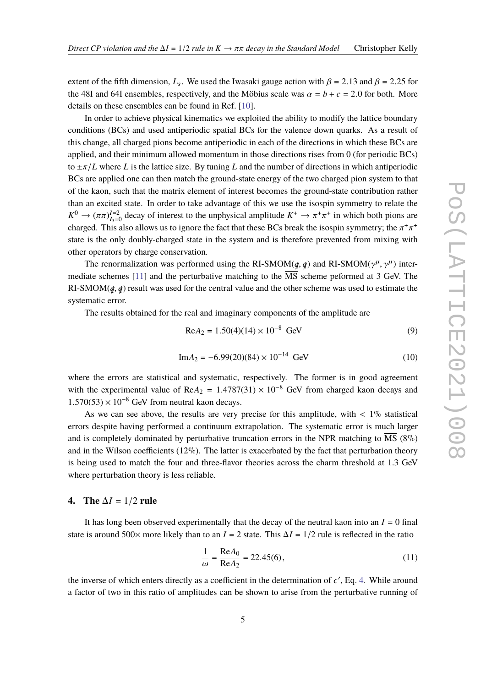extent of the fifth dimension,  $L_s$ . We used the Iwasaki gauge action with  $\beta = 2.13$  and  $\beta = 2.25$  for the 48I and 64I ensembles, respectively, and the Möbius scale was  $\alpha = b + c = 2.0$  for both. More details on these ensembles can be found in Ref. [\[10\]](#page-14-9).

In order to achieve physical kinematics we exploited the ability to modify the lattice boundary conditions (BCs) and used antiperiodic spatial BCs for the valence down quarks. As a result of this change, all charged pions become antiperiodic in each of the directions in which these BCs are applied, and their minimum allowed momentum in those directions rises from 0 (for periodic BCs) to <sup>±</sup>π/*<sup>L</sup>* where *<sup>L</sup>* is the lattice size. By tuning *<sup>L</sup>* and the number of directions in which antiperiodic BCs are applied one can then match the ground-state energy of the two charged pion system to that of the kaon, such that the matrix element of interest becomes the ground-state contribution rather than an excited state. In order to take advantage of this we use the isospin symmetry to relate the  $K^0 \to (\pi \pi)_{I=0}^{I=2}$  decay of interest to the unphysical amplitude  $K^+ \to \pi^+ \pi^+$  in which both pions are aborated. This also allows us to import the fact that those PCs brask the isosonic summatry the  $\pi^+ \pi^+$ charged. This also allows us to ignore the fact that these BCs break the isospin symmetry; the  $\pi^+\pi^+$ state is the only doubly-charged state in the system and is therefore prevented from mixing with other operators by charge conservation.

The renormalization was performed using the RI-SMOM( $q$ ,  $q$ ) and RI-SMOM( $\gamma^{\mu}$ ,  $\gamma^{\mu}$ ) inter-<br>late schemes [11] and the perturbative matching to the  $\overline{MS}$  scheme performed at 3 GeV. The The renormalization was performed using the KI-SMOM( $q$ ,  $q$ ) and KI-SMOM( $\gamma$ '',  $\gamma$ '') intermediate schemes [\[11\]](#page-14-10) and the perturbative matching to the  $\overline{\text{MS}}$  scheme peformed at 3 GeV. The RI-SMOM $(q, q)$  result was used for the central value and the other scheme was used to estimate the systematic error.

The results obtained for the real and imaginary components of the amplitude are

$$
Re A_2 = 1.50(4)(14) \times 10^{-8} \text{ GeV}
$$
 (9)

$$
Im A_2 = -6.99(20)(84) \times 10^{-14} \text{ GeV}
$$
 (10)

where the errors are statistical and systematic, respectively. The former is in good agreement with the experimental value of Re $A_2 = 1.4787(31) \times 10^{-8}$  GeV from charged kaon decays and  $1.570(53) \times 10^{-8}$  GeV from neutral kaon decays.

As we can see above, the results are very precise for this amplitude, with  $\langle 1\%$  statistical errors despite having performed a continuum extrapolation. The systematic error is much larger and is completely dominated by perturbative truncation errors in the NPR matching to MS (8%) and in the Wilson coefficients  $(12\%)$ . The latter is exacerbated by the fact that perturbation theory is being used to match the four and three-flavor theories across the charm threshold at 1.3 GeV where perturbation theory is less reliable.

#### **4.** The  $\Delta I = 1/2$  rule

It has long been observed experimentally that the decay of the neutral kaon into an  $I = 0$  final state is around 500× more likely than to an  $I = 2$  state. This  $\Delta I = 1/2$  rule is reflected in the ratio

$$
\frac{1}{\omega} = \frac{\text{Re}A_0}{\text{Re}A_2} = 22.45(6),\tag{11}
$$

the inverse of which enters directly as a coefficient in the determination of  $\epsilon'$ , Eq. [4.](#page-2-0) While around a feature of two in this ratio of emplitudes can be above to exist from the porturbative symphon of a factor of two in this ratio of amplitudes can be shown to arise from the perturbative running of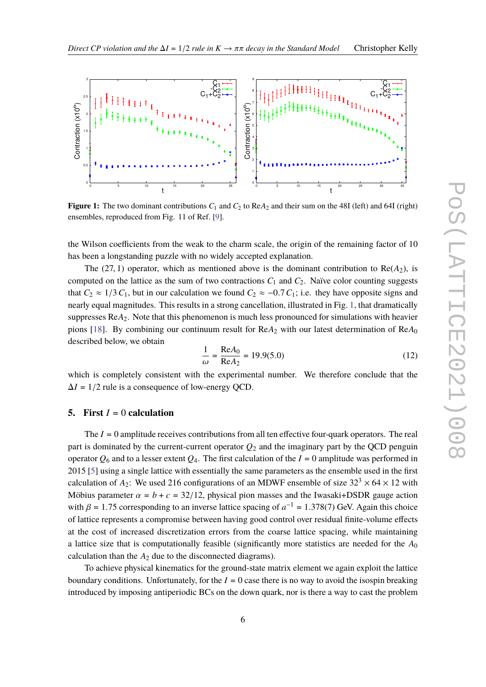<span id="page-5-0"></span>

**Figure 1:** The two dominant contributions  $C_1$  and  $C_2$  to  $\text{Re}A_2$  and their sum on the 48I (left) and 64I (right) ensembles, reproduced from Fig. 11 of Ref. [\[9\]](#page-14-8).

the Wilson coefficients from the weak to the charm scale, the origin of the remaining factor of 10 has been a longstanding puzzle with no widely accepted explanation.

The (27, 1) operator, which as mentioned above is the dominant contribution to  $Re(A_2)$ , is computed on the lattice as the sum of two contractions  $C_1$  and  $C_2$ . Naïve color counting suggests that  $C_2 \approx 1/3 C_1$ , but in our calculation we found  $C_2 \approx -0.7 C_1$ ; i.e. they have opposite signs and nearly equal magnitudes. This results in a strong cancellation, illustrated in Fig. [1,](#page-5-0) that dramatically suppresses Re*A*2. Note that this phenomenon is much less pronounced for simulations with heavier pions [\[18\]](#page-15-0). By combining our continuum result for ReA<sub>2</sub> with our latest determination of ReA<sub>0</sub> described below, we obtain

$$
\frac{1}{\omega} = \frac{\text{Re}A_0}{\text{Re}A_2} = 19.9(5.0)
$$
 (12)

which is completely consistent with the experimental number. We therefore conclude that the  $\Delta I = 1/2$  rule is a consequence of low-energy QCD.

# **5.** First  $I = 0$  calculation

The *I* = 0 amplitude receives contributions from all ten effective four-quark operators. The real part is dominated by the current-current operator  $Q_2$  and the imaginary part by the QCD penguin operator  $Q_6$  and to a lesser extent  $Q_4$ . The first calculation of the  $I = 0$  amplitude was performed in 2015 [\[5\]](#page-14-4) using a single lattice with essentially the same parameters as the ensemble used in the first calculation of  $A_2$ : We used 216 configurations of an MDWF ensemble of size  $32^3 \times 64 \times 12$  with Möbius parameter  $\alpha = b + c = 32/12$ , physical pion masses and the Iwasaki+DSDR gauge action with  $\beta = 1.75$  corresponding to an inverse lattice spacing of  $a^{-1} = 1.378(7)$  GeV. Again this choice of lattice represents a compromise between having good control over residual finite-volume effects at the cost of increased discretization errors from the coarse lattice spacing, while maintaining a lattice size that is computationally feasible (significantly more statistics are needed for the *A*<sup>0</sup> calculation than the  $A_2$  due to the disconnected diagrams).

To achieve physical kinematics for the ground-state matrix element we again exploit the lattice boundary conditions. Unfortunately, for the  $I = 0$  case there is no way to avoid the isospin breaking introduced by imposing antiperiodic BCs on the down quark, nor is there a way to cast the problem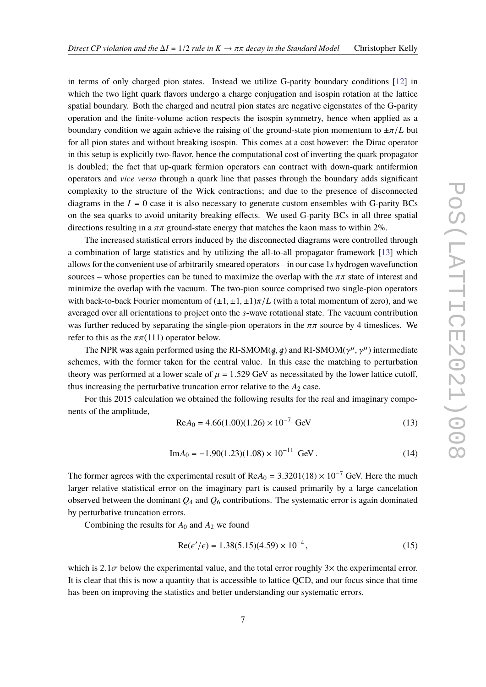in terms of only charged pion states. Instead we utilize G-parity boundary conditions [\[12\]](#page-15-1) in which the two light quark flavors undergo a charge conjugation and isospin rotation at the lattice spatial boundary. Both the charged and neutral pion states are negative eigenstates of the G-parity operation and the finite-volume action respects the isospin symmetry, hence when applied as a boundary condition we again achieve the raising of the ground-state pion momentum to <sup>±</sup>π/*<sup>L</sup>* but for all pion states and without breaking isospin. This comes at a cost however: the Dirac operator in this setup is explicitly two-flavor, hence the computational cost of inverting the quark propagator is doubled; the fact that up-quark fermion operators can contract with down-quark antifermion operators and *vice versa* through a quark line that passes through the boundary adds significant complexity to the structure of the Wick contractions; and due to the presence of disconnected diagrams in the  $I = 0$  case it is also necessary to generate custom ensembles with G-parity BCs on the sea quarks to avoid unitarity breaking effects. We used G-parity BCs in all three spatial directions resulting in a  $\pi\pi$  ground-state energy that matches the kaon mass to within 2%.

The increased statistical errors induced by the disconnected diagrams were controlled through a combination of large statistics and by utilizing the all-to-all propagator framework [\[13\]](#page-15-2) which allows for the convenient use of arbitrarily smeared operators – in our case 1*s* hydrogen wavefunction sources – whose properties can be tuned to maximize the overlap with the  $\pi\pi$  state of interest and minimize the overlap with the vacuum. The two-pion source comprised two single-pion operators with back-to-back Fourier momentum of  $(\pm 1, \pm 1, \pm 1)\pi/L$  (with a total momentum of zero), and we averaged over all orientations to project onto the *s*-wave rotational state. The vacuum contribution was further reduced by separating the single-pion operators in the  $\pi\pi$  source by 4 timeslices. We refer to this as the  $\pi \pi (111)$  operator below.

The NPR was again performed using the RI-SMOM( $q$ ,  $q$ ) and RI-SMOM( $\gamma^{\mu}$ ,  $\gamma^{\mu}$ ) intermediate<br>mes, with the former taken for the central value. In this case the matching to perturbation schemes, with the former taken for the central value. In this case the matching to perturbation theory was performed at a lower scale of  $\mu = 1.529$  GeV as necessitated by the lower lattice cutoff, thus increasing the perturbative truncation error relative to the  $A_2$  case.

For this 2015 calculation we obtained the following results for the real and imaginary components of the amplitude,

$$
Re A_0 = 4.66(1.00)(1.26) \times 10^{-7} \text{ GeV}
$$
 (13)

$$
Im A_0 = -1.90(1.23)(1.08) \times 10^{-11} \text{ GeV}.
$$
 (14)

The former agrees with the experimental result of  $\text{Re}A_0 = 3.3201(18) \times 10^{-7}$  GeV. Here the much larger relative statistical error on the imaginary part is caused primarily by a large cancelation observed between the dominant  $Q_4$  and  $Q_6$  contributions. The systematic error is again dominated by perturbative truncation errors.

Combining the results for  $A_0$  and  $A_2$  we found

$$
Re(\epsilon'/\epsilon) = 1.38(5.15)(4.59) \times 10^{-4},\tag{15}
$$

which is  $2.1\sigma$  below the experimental value, and the total error roughly  $3\times$  the experimental error. It is clear that this is now a quantity that is accessible to lattice QCD, and our focus since that time has been on improving the statistics and better understanding our systematic errors.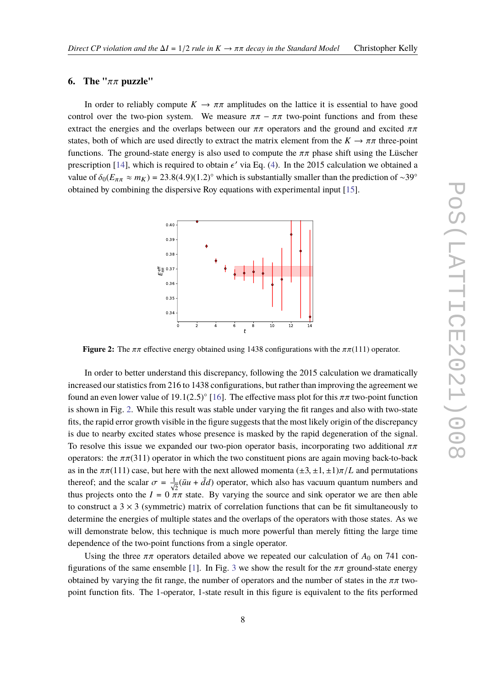#### **6. The "**ππ **puzzle"**

In order to reliably compute  $K \to \pi \pi$  amplitudes on the lattice it is essential to have good control over the two-pion system. We measure  $\pi\pi - \pi\pi$  two-point functions and from these extract the energies and the overlaps between our  $\pi\pi$  operators and the ground and excited  $\pi\pi$ states, both of which are used directly to extract the matrix element from the  $K \to \pi \pi$  three-point functions. The ground-state energy is also used to compute the  $\pi\pi$  phase shift using the Lüscher prescription [\[14\]](#page-15-3), which is required to obtain  $\epsilon'$  via Eq. [\(4\)](#page-2-0). In the 2015 calculation we obtained a<br>value of  $\delta$  (Eq. (8)  $\mu$ , (2) 22.8(4.0)(1.2)<sup>o</sup> which is substantially smaller than the analistica of -200 value of  $\delta_0(E_{\pi\pi} \approx m_K) = 23.8(4.9)(1.2)°$  which is substantially smaller than the prediction of ~39° obtained by combining the dispersive Roy equations with experimental input [\[15\]](#page-15-4).

<span id="page-7-0"></span>

**Figure 2:** The  $\pi \pi$  effective energy obtained using 1438 configurations with the  $\pi \pi (111)$  operator.

In order to better understand this discrepancy, following the 2015 calculation we dramatically increased our statistics from 216 to 1438 configurations, but rather than improving the agreement we found an even lower value of 19.1(2.5)<sup>°</sup> [\[16\]](#page-15-5). The effective mass plot for this  $\pi\pi$  two-point function<br>is above in Fig. 2. While this result was stable under verying the fit renges and also with two state is shown in Fig. [2.](#page-7-0) While this result was stable under varying the fit ranges and also with two-state fits, the rapid error growth visible in the figure suggests that the most likely origin of the discrepancy is due to nearby excited states whose presence is masked by the rapid degeneration of the signal. To resolve this issue we expanded our two-pion operator basis, incorporating two additional  $\pi\pi$ operators: the  $\pi\pi(311)$  operator in which the two constituent pions are again moving back-to-back as in the  $\pi\pi(111)$  case, but here with the next allowed momenta  $(\pm 3, \pm 1, \pm 1)\pi/L$  and permutations thereof; and the scalar  $\sigma = \frac{1}{\sqrt{2}} (\bar{u}u + \bar{d}d)$  operator, which also has vacuum quantum numbers and thus groints are that  $\bar{d}u$  and  $\bar{d}u$  and  $\bar{d}u$  are consistent as the set of  $\bar{d}u$  and  $\bar{d}u$  and  $\bar$ thus projects onto the  $I = 0 \pi \pi$  state. By varying the source and sink operator we are then able to construct a  $3 \times 3$  (symmetric) matrix of correlation functions that can be fit simultaneously to determine the energies of multiple states and the overlaps of the operators with those states. As we will demonstrate below, this technique is much more powerful than merely fitting the large time dependence of the two-point functions from a single operator.

Using the three  $\pi\pi$  operators detailed above we repeated our calculation of  $A_0$  on 741 con-figurations of the same ensemble [\[1\]](#page-14-0). In Fig. [3](#page-8-0) we show the result for the  $\pi\pi$  ground-state energy obtained by varying the fit range, the number of operators and the number of states in the  $\pi\pi$  twopoint function fits. The 1-operator, 1-state result in this figure is equivalent to the fits performed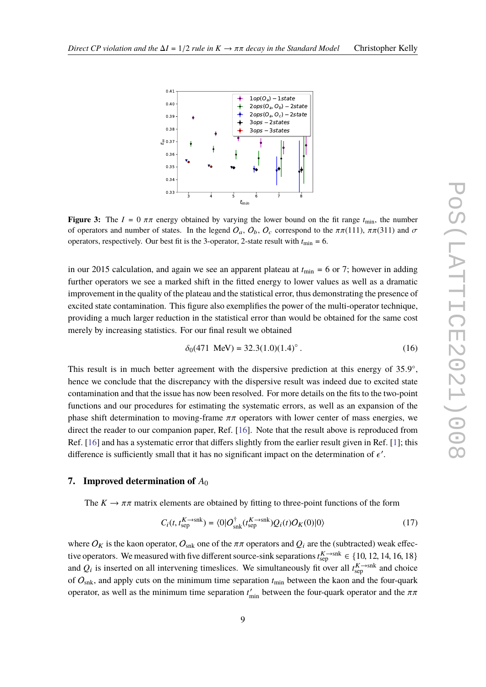<span id="page-8-0"></span>

**Figure 3:** The  $I = 0 \pi \pi$  energy obtained by varying the lower bound on the fit range  $t_{\text{min}}$ , the number of operators and number of states. In the legend  $O_a$ ,  $O_b$ ,  $O_c$  correspond to the  $\pi\pi(111)$ ,  $\pi\pi(311)$  and  $\sigma$ operators, respectively. Our best fit is the 3-operator, 2-state result with  $t_{\text{min}} = 6$ .

in our 2015 calculation, and again we see an apparent plateau at  $t_{\text{min}} = 6$  or 7; however in adding further operators we see a marked shift in the fitted energy to lower values as well as a dramatic improvement in the quality of the plateau and the statistical error, thus demonstrating the presence of excited state contamination. This figure also exemplifies the power of the multi-operator technique, providing a much larger reduction in the statistical error than would be obtained for the same cost merely by increasing statistics. For our final result we obtained

$$
\delta_0(471 \text{ MeV}) = 32.3(1.0)(1.4)^{\circ} \,. \tag{16}
$$

This result is in much better agreement with the dispersive prediction at this energy of 35.9°,<br>hance we conclude that the discrepancy with the dispersive result wes indeed due to evoited atota hence we conclude that the discrepancy with the dispersive result was indeed due to excited state contamination and that the issue has now been resolved. For more details on the fits to the two-point functions and our procedures for estimating the systematic errors, as well as an expansion of the phase shift determination to moving-frame  $\pi\pi$  operators with lower center of mass energies, we direct the reader to our companion paper, Ref. [\[16\]](#page-15-5). Note that the result above is reproduced from Ref. [\[16\]](#page-15-5) and has a systematic error that differs slightly from the earlier result given in Ref. [\[1\]](#page-14-0); this difference is sufficiently small that it has no significant impact on the determination of  $\epsilon'$ .

# **7. Improved determination of** *A*<sup>0</sup>

The  $K \to \pi \pi$  matrix elements are obtained by fitting to three-point functions of the form

$$
C_i(t, t_{\text{sep}}^{K \to \text{snk}}) = \langle 0 | O_{\text{snk}}^\dagger(t_{\text{sep}}^{K \to \text{snk}}) Q_i(t) O_K(0) | 0 \rangle \tag{17}
$$

where  $O_K$  is the kaon operator,  $O_{snk}$  one of the  $\pi\pi$  operators and  $Q_i$  are the (subtracted) weak effective operators. We measured with five different source-sink separations  $t_{\text{sep}}^{K \to \text{snk}} \in \{10, 12, 14, 16, 18\}$ <br>and  $\Omega$ , is inserted an all intervaning timeslines. We simultaneously fit over all  $K \to \text{snk}$  and absis and  $Q_i$  is inserted on all intervening timeslices. We simultaneously fit over all  $t_{\text{sep}}^{K \to \text{snk}}$  and choice of  $O_{snk}$ , and apply cuts on the minimum time separation  $t_{min}$  between the kaon and the four-quark operator, as well as the minimum time separation  $t'_{\text{min}}$  between the four-quark operator and the  $\pi\pi$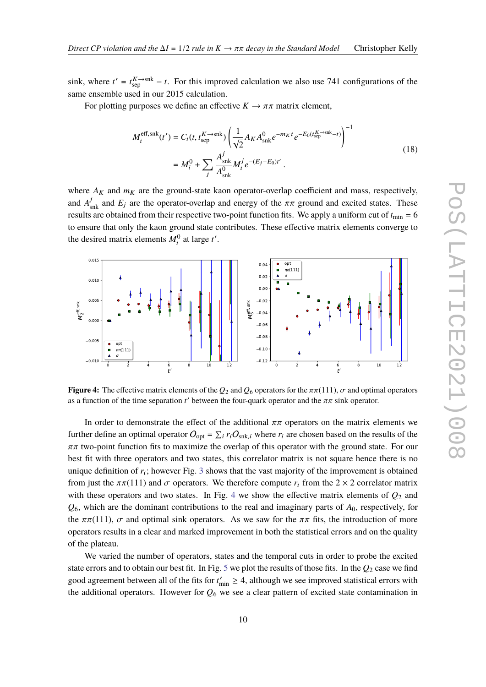sink, where  $t' = t_{\text{sep}}^K \rightarrow t$ . For this improved calculation we also use 741 configurations of the same ensemble used in our 2015 calculation.

For plotting purposes we define an effective  $K \to \pi \pi$  matrix element,

$$
M_i^{\text{eff},\text{snk}}(t') = C_i(t, t_{\text{sep}}^K - \text{snk}) \left( \frac{1}{\sqrt{2}} A_K A_{\text{snk}}^0 e^{-m_K t} e^{-E_0(t_{\text{sep}}^K - \text{snk} - t)} \right)^{-1}
$$
  
= 
$$
M_i^0 + \sum_j \frac{A_{\text{snk}}^j}{A_{\text{snk}}^0} M_i^j e^{-(E_j - E_0)t'}.
$$
 (18)

where  $A_K$  and  $m_K$  are the ground-state kaon operator-overlap coefficient and mass, respectively, and  $A_{\text{snk}}^j$  and  $E_j$  are the operator-overlap and energy of the  $\pi\pi$  ground and excited states. These results are obtained from their respective two-point function fits. We apply a uniform cut of  $t_{\text{min}} = 6$ to ensure that only the kaon ground state contributes. These effective matrix elements converge to the desired matrix elements  $M_i^0$  at large  $t'$ .

<span id="page-9-0"></span>

**Figure 4:** The effective matrix elements of the  $Q_2$  and  $Q_6$  operators for the  $\pi \pi (111)$ ,  $\sigma$  and optimal operators as a function of the time separation  $t'$  between the four-quark operator and the  $\pi\pi$  sink operator.

In order to demonstrate the effect of the additional  $\pi\pi$  operators on the matrix elements we further define an optimal operator  $O_{opt} = \sum_i r_i O_{snk,i}$  where  $r_i$  are chosen based on the results of the  $\pi\pi$  two-point function fits to maximize the overlap of this operator with the ground state. For our best fit with three operators and two states, this correlator matrix is not square hence there is no unique definition of  $r_i$ ; however Fig. [3](#page-8-0) shows that the vast majority of the improvement is obtained from just the  $\pi\pi(111)$  and  $\sigma$  operators. We therefore compute  $r_i$  from the 2 × 2 correlator matrix with these operators and two states. In Fig. [4](#page-9-0) we show the effective matrix elements of  $Q_2$  and *Q*6, which are the dominant contributions to the real and imaginary parts of *A*0, respectively, for the  $\pi\pi(111)$ ,  $\sigma$  and optimal sink operators. As we saw for the  $\pi\pi$  fits, the introduction of more operators results in a clear and marked improvement in both the statistical errors and on the quality of the plateau.

We varied the number of operators, states and the temporal cuts in order to probe the excited state errors and to obtain our best fit. In Fig. [5](#page-10-0) we plot the results of those fits. In the *Q*<sup>2</sup> case we find good agreement between all of the fits for  $t'_{\text{min}} \geq 4$ , although we see improved statistical errors with the additional operators. However for  $Q_6$  we see a clear pattern of excited state contamination in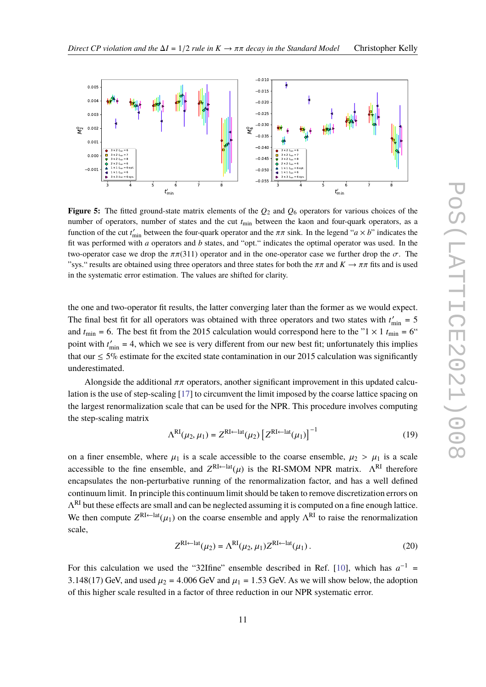<span id="page-10-0"></span>

**Figure 5:** The fitted ground-state matrix elements of the *Q*<sup>2</sup> and *Q*<sup>6</sup> operators for various choices of the number of operators, number of states and the cut *t*min between the kaon and four-quark operators, as a function of the cut  $t'_{\text{min}}$  between the four-quark operator and the  $\pi \pi$  sink. In the legend "*a* × *b*" indicates the fit was performed with *<sup>a</sup>* operators and *<sup>b</sup>* states, and "opt." indicates the optimal operator was used. In the two-operator case we drop the  $\pi \pi (311)$  operator and in the one-operator case we further drop the  $\sigma$ . The "sys." results are obtained using three operators and three states for both the  $\pi\pi$  and  $K \to \pi\pi$  fits and is used in the systematic error estimation. The values are shifted for clarity.

the one and two-operator fit results, the latter converging later than the former as we would expect. The final best fit for all operators was obtained with three operators and two states with  $t'_{\text{min}} = 5$ and  $t_{\text{min}} = 6$ . The best fit from the 2015 calculation would correspond here to the "1  $\times$  1  $t_{\text{min}} = 6$ " point with  $t'_{\text{min}} = 4$ , which we see is very different from our new best fit; unfortunately this implies that our  $\leq$  5% estimate for the excited state contamination in our 2015 calculation was significantly underestimated.

Alongside the additional  $\pi\pi$  operators, another significant improvement in this updated calculation is the use of step-scaling [\[17\]](#page-15-6) to circumvent the limit imposed by the coarse lattice spacing on the largest renormalization scale that can be used for the NPR. This procedure involves computing the step-scaling matrix

$$
\Lambda^{\text{RI}}(\mu_2, \mu_1) = Z^{\text{RI} \leftarrow \text{lat}}(\mu_2) \left[ Z^{\text{RI} \leftarrow \text{lat}}(\mu_1) \right]^{-1} \tag{19}
$$

on a finer ensemble, where  $\mu_1$  is a scale accessible to the coarse ensemble,  $\mu_2 > \mu_1$  is a scale accessible to the fine ensemble, and  $Z^{\text{RI}\leftarrow \text{lat}}(\mu)$  is the RI-SMOM NPR matrix.  $\Lambda^{\text{RI}}$  therefore encapsulates the non-perturbative running of the renormalization factor, and has a well defined continuum limit. In principle this continuum limit should be taken to remove discretization errors on  $\Lambda^{\text{RI}}$  but these effects are small and can be neglected assuming it is computed on a fine enough lattice. We then compute  $Z^{\text{RI}\leftarrow \text{lat}}(\mu_1)$  on the coarse ensemble and apply  $\Lambda^{\text{RI}}$  to raise the renormalization scale,

$$
Z^{\text{RI}\leftarrow\text{lat}}(\mu_2) = \Lambda^{\text{RI}}(\mu_2, \mu_1) Z^{\text{RI}\leftarrow\text{lat}}(\mu_1).
$$
 (20)

For this calculation we used the "32Ifine" ensemble described in Ref. [\[10\]](#page-14-9), which has  $a^{-1}$  = 3.148(17) GeV, and used  $\mu_2 = 4.006$  GeV and  $\mu_1 = 1.53$  GeV. As we will show below, the adoption of this higher scale resulted in a factor of three reduction in our NPR systematic error.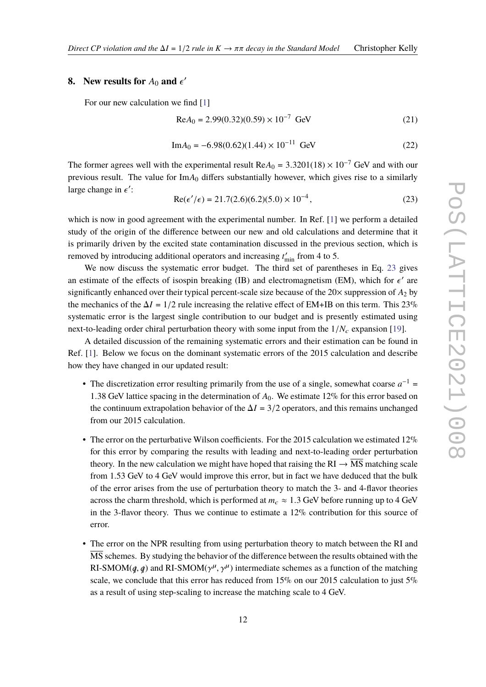# <span id="page-11-0"></span>**8.** New results for  $A_0$  and  $\epsilon'$

For our new calculation we find [\[1\]](#page-14-0)

$$
Re A_0 = 2.99(0.32)(0.59) \times 10^{-7} \text{ GeV}
$$
 (21)

$$
Im A_0 = -6.98(0.62)(1.44) \times 10^{-11} \text{ GeV}
$$
 (22)

The former agrees well with the experimental result  $ReA_0 = 3.3201(18) \times 10^{-7}$  GeV and with our previous result. The value for Im*A*<sup>0</sup> differs substantially however, which gives rise to a similarly large change in  $\epsilon'$ :

$$
Re(\epsilon'/\epsilon) = 21.7(2.6)(6.2)(5.0) \times 10^{-4},
$$
\n(23)

which is now in good agreement with the experimental number. In Ref. [\[1\]](#page-14-0) we perform a detailed study of the origin of the difference between our new and old calculations and determine that it is primarily driven by the excited state contamination discussed in the previous section, which is removed by introducing additional operators and increasing  $t'_{\text{min}}$  from 4 to 5.

We now discuss the systematic error budget. The third set of parentheses in Eq. [23](#page-11-0) gives an estimate of the effects of isospin breaking (IB) and electromagnetism (EM), which for  $\epsilon'$  are<br>circuificently enhanced over their typical negative and size because of the 20*X* symmetric of A, by significantly enhanced over their typical percent-scale size because of the  $20\times$  suppression of  $A_2$  by the mechanics of the  $\Delta I = 1/2$  rule increasing the relative effect of EM+IB on this term. This 23% systematic error is the largest single contribution to our budget and is presently estimated using next-to-leading order chiral perturbation theory with some input from the  $1/N_c$  expansion [\[19\]](#page-15-7).

A detailed discussion of the remaining systematic errors and their estimation can be found in Ref. [\[1\]](#page-14-0). Below we focus on the dominant systematic errors of the 2015 calculation and describe how they have changed in our updated result:

- The discretization error resulting primarily from the use of a single, somewhat coarse  $a^{-1}$ <sup>1</sup>.<sup>38</sup> GeV lattice spacing in the determination of *<sup>A</sup>*0. We estimate 12% for this error based on the continuum extrapolation behavior of the  $\Delta I = 3/2$  operators, and this remains unchanged from our 2015 calculation.
- The error on the perturbative Wilson coefficients. For the 2015 calculation we estimated  $12\%$ for this error by comparing the results with leading and next-to-leading order perturbation theory. In the new calculation we might have hoped that raising the  $RI \rightarrow MS$  matching scale from 1.53 GeV to 4 GeV would improve this error, but in fact we have deduced that the bulk of the error arises from the use of perturbation theory to match the 3- and 4-flavor theories across the charm threshold, which is performed at  $m_c \approx 1.3$  GeV before running up to 4 GeV in the 3-flavor theory. Thus we continue to estimate a 12% contribution for this source of error.
- The error on the NPR resulting from using perturbation theory to match between the RI and MS schemes. By studying the behavior of the difference between the results obtained with the RI-SMOM( $q$ ,  $q$ ) and RI-SMOM( $\gamma^{\mu}$ ,  $\gamma^{\mu}$ ) intermediate schemes as a function of the matching<br>scale, we conclude that this error has reduced from 15% on our 2015 calculation to just 5%  $\kappa$ 1-SMON(q, q) and  $\kappa$ 1-SMON( $\gamma$ ,  $\gamma$ ) intermediate schemes as a function of the matching scale, we conclude that this error has reduced from 15% on our 2015 calculation to just 5% as a result of using step-scaling to increase the matching scale to 4 GeV.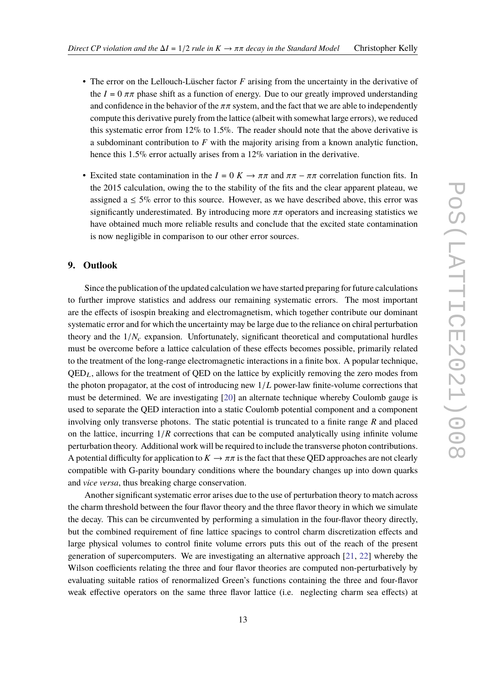- The error on the Lellouch-Lüscher factor *F* arising from the uncertainty in the derivative of the  $I = 0 \pi \pi$  phase shift as a function of energy. Due to our greatly improved understanding and confidence in the behavior of the  $\pi\pi$  system, and the fact that we are able to independently compute this derivative purely from the lattice (albeit with somewhat large errors), we reduced this systematic error from 12% to 1.5%. The reader should note that the above derivative is a subdominant contribution to *F* with the majority arising from a known analytic function, hence this 1.5% error actually arises from a 12% variation in the derivative.
- Excited state contamination in the  $I = 0$  K  $\rightarrow \pi \pi$  and  $\pi \pi \pi \pi$  correlation function fits. In the 2015 calculation, owing the to the stability of the fits and the clear apparent plateau, we assigned a  $\leq$  5% error to this source. However, as we have described above, this error was significantly underestimated. By introducing more  $\pi\pi$  operators and increasing statistics we have obtained much more reliable results and conclude that the excited state contamination is now negligible in comparison to our other error sources.

### **9. Outlook**

Since the publication of the updated calculation we have started preparing for future calculations to further improve statistics and address our remaining systematic errors. The most important are the effects of isospin breaking and electromagnetism, which together contribute our dominant systematic error and for which the uncertainty may be large due to the reliance on chiral perturbation theory and the  $1/N_c$  expansion. Unfortunately, significant theoretical and computational hurdles must be overcome before a lattice calculation of these effects becomes possible, primarily related to the treatment of the long-range electromagnetic interactions in a finite box. A popular technique,  $QED<sub>L</sub>$ , allows for the treatment of  $QED$  on the lattice by explicitly removing the zero modes from the photon propagator, at the cost of introducing new <sup>1</sup>/*<sup>L</sup>* power-law finite-volume corrections that must be determined. We are investigating [\[20\]](#page-15-8) an alternate technique whereby Coulomb gauge is used to separate the QED interaction into a static Coulomb potential component and a component involving only transverse photons. The static potential is truncated to a finite range *R* and placed on the lattice, incurring <sup>1</sup>/*<sup>R</sup>* corrections that can be computed analytically using infinite volume perturbation theory. Additional work will be required to include the transverse photon contributions. A potential difficulty for application to  $K \to \pi \pi$  is the fact that these QED approaches are not clearly compatible with G-parity boundary conditions where the boundary changes up into down quarks and *vice versa*, thus breaking charge conservation.

Another significant systematic error arises due to the use of perturbation theory to match across the charm threshold between the four flavor theory and the three flavor theory in which we simulate the decay. This can be circumvented by performing a simulation in the four-flavor theory directly, but the combined requirement of fine lattice spacings to control charm discretization effects and large physical volumes to control finite volume errors puts this out of the reach of the present generation of supercomputers. We are investigating an alternative approach [\[21,](#page-15-9) [22\]](#page-15-10) whereby the Wilson coefficients relating the three and four flavor theories are computed non-perturbatively by evaluating suitable ratios of renormalized Green's functions containing the three and four-flavor weak effective operators on the same three flavor lattice (i.e. neglecting charm sea effects) at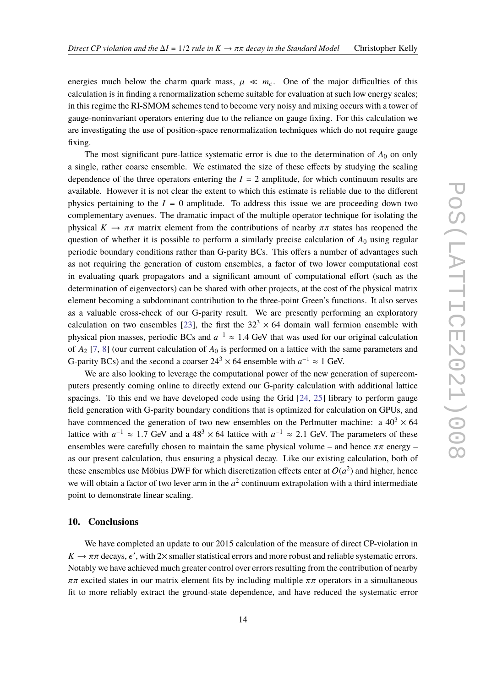energies much below the charm quark mass,  $\mu \ll m_c$ . One of the major difficulties of this calculation is in finding a renormalization scheme suitable for evaluation at such low energy scales; in this regime the RI-SMOM schemes tend to become very noisy and mixing occurs with a tower of gauge-noninvariant operators entering due to the reliance on gauge fixing. For this calculation we are investigating the use of position-space renormalization techniques which do not require gauge fixing.

The most significant pure-lattice systematic error is due to the determination of  $A_0$  on only a single, rather coarse ensemble. We estimated the size of these effects by studying the scaling dependence of the three operators entering the  $I = 2$  amplitude, for which continuum results are available. However it is not clear the extent to which this estimate is reliable due to the different physics pertaining to the  $I = 0$  amplitude. To address this issue we are proceeding down two complementary avenues. The dramatic impact of the multiple operator technique for isolating the physical  $K \to \pi \pi$  matrix element from the contributions of nearby  $\pi \pi$  states has reopened the question of whether it is possible to perform a similarly precise calculation of  $A_0$  using regular periodic boundary conditions rather than G-parity BCs. This offers a number of advantages such as not requiring the generation of custom ensembles, a factor of two lower computational cost in evaluating quark propagators and a significant amount of computational effort (such as the determination of eigenvectors) can be shared with other projects, at the cost of the physical matrix element becoming a subdominant contribution to the three-point Green's functions. It also serves as a valuable cross-check of our G-parity result. We are presently performing an exploratory calculation on two ensembles [\[23\]](#page-15-11), the first the  $32<sup>3</sup> \times 64$  domain wall fermion ensemble with physical pion masses, periodic BCs and  $a^{-1} \approx 1.4$  GeV that was used for our original calculation of  $A$  [7, 81 (our our original calculation of  $A$  is north and an a lattice with the same normators and of  $A_2$  [\[7,](#page-14-6) [8\]](#page-14-7) (our current calculation of  $A_0$  is performed on a lattice with the same parameters and G-parity BCs) and the second a coarser  $24^3 \times 64$  ensemble with  $a^{-1} \approx 1$  GeV.

We are also looking to leverage the computational power of the new generation of supercomputers presently coming online to directly extend our G-parity calculation with additional lattice spacings. To this end we have developed code using the Grid [\[24,](#page-15-12) [25\]](#page-15-13) library to perform gauge field generation with G-parity boundary conditions that is optimized for calculation on GPUs, and have commenced the generation of two new ensembles on the Perlmutter machine: a  $40^3 \times 64$ lattice with  $a^{-1} \approx 1.7$  GeV and a 48<sup>3</sup> × 64 lattice with  $a^{-1} \approx 2.1$  GeV. The parameters of these ensembles were carefully chosen to maintain the same physical volume – and hence  $\pi \pi$  energy – as our present calculation, thus ensuring a physical decay. Like our existing calculation, both of these ensembles use Möbius DWF for which discretization effects enter at  $O(a^2)$  and higher, hence we will obtain a factor of two lever arm in the  $a^2$  continuum extrapolation with a third intermediate point to demonstrate linear scaling.

#### **10. Conclusions**

We have completed an update to our 2015 calculation of the measure of direct CP-violation in  $K \to \pi \pi$  decays,  $\epsilon'$ , with 2× smaller statistical errors and more robust and reliable systematic errors. Notably we have achieved much greater control over errors resulting from the contribution of nearby  $\pi\pi$  excited states in our matrix element fits by including multiple  $\pi\pi$  operators in a simultaneous fit to more reliably extract the ground-state dependence, and have reduced the systematic error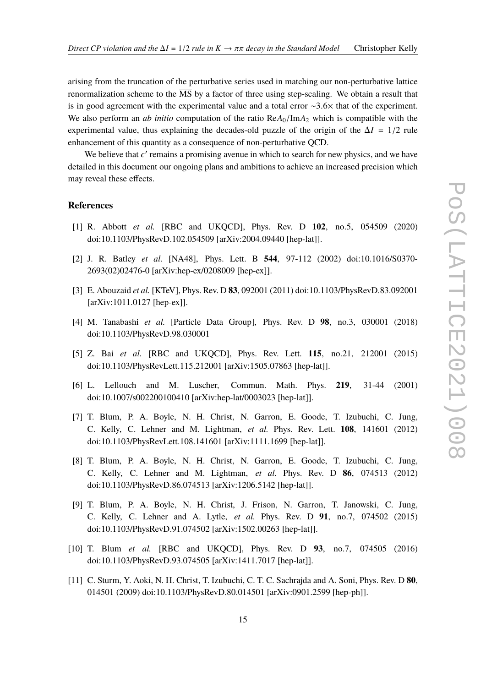arising from the truncation of the perturbative series used in matching our non-perturbative lattice renormalization scheme to the  $\overline{\text{MS}}$  by a factor of three using step-scaling. We obtain a result that is in good agreement with the experimental value and a total error  $\sim$ 3.6 $\times$  that of the experiment. We also perform an *ab initio* computation of the ratio  $\text{Re}A_0/\text{Im}A_2$  which is compatible with the experimental value, thus explaining the decades-old puzzle of the origin of the  $\Delta I = 1/2$  rule enhancement of this quantity as a consequence of non-perturbative QCD.

We believe that  $\epsilon'$  remains a promising avenue in which to search for new physics, and we have led in this decurrent our opening plane and embitions to solicy an increased procession which detailed in this document our ongoing plans and ambitions to achieve an increased precision which may reveal these effects.

#### **References**

- <span id="page-14-0"></span>[1] R. Abbott *et al.* [RBC and UKQCD], Phys. Rev. D **102**, no.5, 054509 (2020) doi:10.1103/PhysRevD.102.054509 [arXiv:2004.09440 [hep-lat]].
- <span id="page-14-1"></span>[2] J. R. Batley *et al.* [NA48], Phys. Lett. B **544**, 97-112 (2002) doi:10.1016/S0370- 2693(02)02476-0 [arXiv:hep-ex/0208009 [hep-ex]].
- <span id="page-14-2"></span>[3] E. Abouzaid *et al.* [KTeV], Phys. Rev. D **83**, 092001 (2011) doi:10.1103/PhysRevD.83.092001 [arXiv:1011.0127 [hep-ex]].
- <span id="page-14-3"></span>[4] M. Tanabashi *et al.* [Particle Data Group], Phys. Rev. D **98**, no.3, 030001 (2018) doi:10.1103/PhysRevD.98.030001
- <span id="page-14-4"></span>[5] Z. Bai *et al.* [RBC and UKQCD], Phys. Rev. Lett. **115**, no.21, 212001 (2015) doi:10.1103/PhysRevLett.115.212001 [arXiv:1505.07863 [hep-lat]].
- <span id="page-14-5"></span>[6] L. Lellouch and M. Luscher, Commun. Math. Phys. **219**, 31-44 (2001) doi:10.1007/s002200100410 [arXiv:hep-lat/0003023 [hep-lat]].
- <span id="page-14-6"></span>[7] T. Blum, P. A. Boyle, N. H. Christ, N. Garron, E. Goode, T. Izubuchi, C. Jung, C. Kelly, C. Lehner and M. Lightman, *et al.* Phys. Rev. Lett. **108**, 141601 (2012) doi:10.1103/PhysRevLett.108.141601 [arXiv:1111.1699 [hep-lat]].
- <span id="page-14-7"></span>[8] T. Blum, P. A. Boyle, N. H. Christ, N. Garron, E. Goode, T. Izubuchi, C. Jung, C. Kelly, C. Lehner and M. Lightman, *et al.* Phys. Rev. D **86**, 074513 (2012) doi:10.1103/PhysRevD.86.074513 [arXiv:1206.5142 [hep-lat]].
- <span id="page-14-8"></span>[9] T. Blum, P. A. Boyle, N. H. Christ, J. Frison, N. Garron, T. Janowski, C. Jung, C. Kelly, C. Lehner and A. Lytle, *et al.* Phys. Rev. D **91**, no.7, 074502 (2015) doi:10.1103/PhysRevD.91.074502 [arXiv:1502.00263 [hep-lat]].
- <span id="page-14-9"></span>[10] T. Blum *et al.* [RBC and UKQCD], Phys. Rev. D **93**, no.7, 074505 (2016) doi:10.1103/PhysRevD.93.074505 [arXiv:1411.7017 [hep-lat]].
- <span id="page-14-10"></span>[11] C. Sturm, Y. Aoki, N. H. Christ, T. Izubuchi, C. T. C. Sachrajda and A. Soni, Phys. Rev. D **80**, 014501 (2009) doi:10.1103/PhysRevD.80.014501 [arXiv:0901.2599 [hep-ph]].